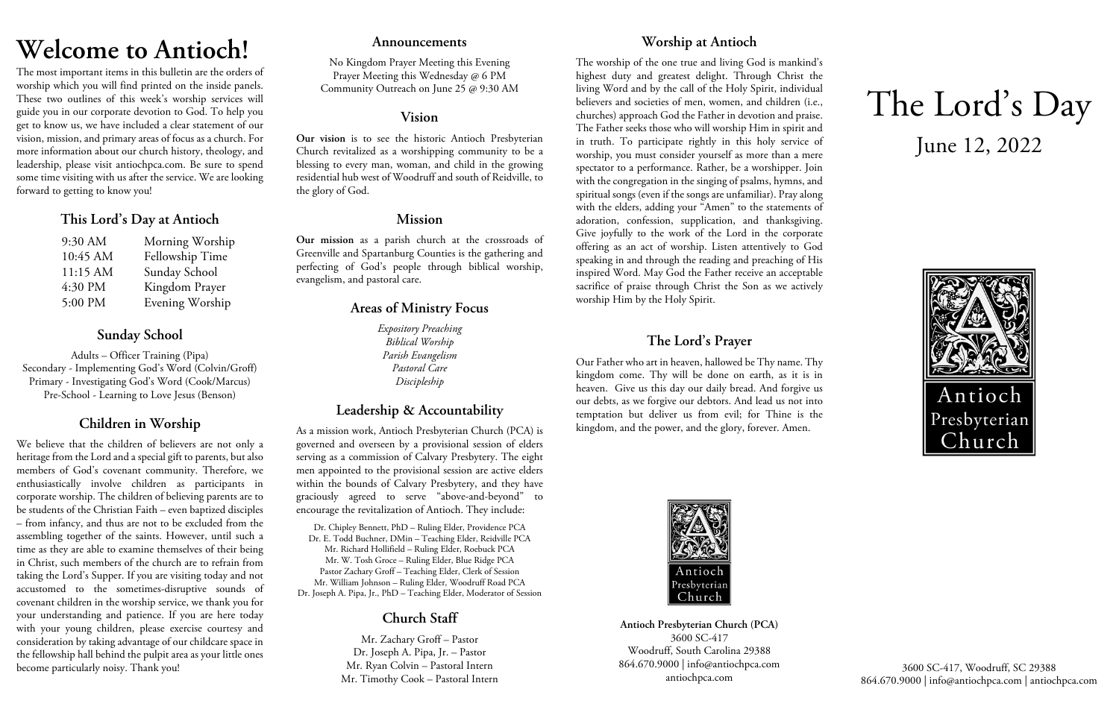# **Welcome to Antioch!**

The most important items in this bulletin are the orders of worship which you will find printed on the inside panels. These two outlines of this week's worship services will guide you in our corporate devotion to God. To help you get to know us, we have included a clear statement of our vision, mission, and primary areas of focus as a church. For more information about our church history, theology, and leadership, please visit antiochpca.com. Be sure to spend some time visiting with us after the service. We are looking forward to getting to know you!

## **This Lord's Day at Antioch**

| 9:30 AM  | Morning Worship |
|----------|-----------------|
| 10:45 AM | Fellowship Time |
| 11:15 AM | Sunday School   |
| 4:30 PM  | Kingdom Prayer  |
| 5:00 PM  | Evening Worship |

# **Sunday School**

Adults – Officer Training (Pipa) Secondary - Implementing God's Word (Colvin/Groff) Primary - Investigating God's Word (Cook/Marcus) Pre-School - Learning to Love Jesus (Benson)

# **Children in Worship**

We believe that the children of believers are not only a heritage from the Lord and a special gift to parents, but also members of God's covenant community. Therefore, we enthusiastically involve children as participants in corporate worship. The children of believing parents are to be students of the Christian Faith – even baptized disciples – from infancy, and thus are not to be excluded from the assembling together of the saints. However, until such a time as they are able to examine themselves of their being in Christ, such members of the church are to refrain from taking the Lord's Supper. If you are visiting today and not accustomed to the sometimes-disruptive sounds of covenant children in the worship service, we thank you for your understanding and patience. If you are here today with your young children, please exercise courtesy and consideration by taking advantage of our childcare space in the fellowship hall behind the pulpit area as your little ones become particularly noisy. Thank you!

## **Announcements**

No Kingdom Prayer Meeting this Evening Prayer Meeting this Wednesday @ 6 PM Community Outreach on June 25 @ 9:30 AM

## **Vision**

**Our vision** is to see the historic Antioch Presbyterian Church revitalized as a worshipping community to be a blessing to every man, woman, and child in the growing residential hub west of Woodruff and south of Reidville, to the glory of God.

# **Mission**

**Our mission** as a parish church at the crossroads of Greenville and Spartanburg Counties is the gathering and perfecting of God's people through biblical worship, evangelism, and pastoral care.

# **Areas of Ministry Focus**

*Expository Preaching Biblical Worship Parish Evangelism Pastoral Care Discipleship*

# **Leadership & Accountability**

As a mission work, Antioch Presbyterian Church (PCA) is governed and overseen by a provisional session of elders serving as a commission of Calvary Presbytery. The eight men appointed to the provisional session are active elders within the bounds of Calvary Presbytery, and they have graciously agreed to serve "above-and-beyond" to encourage the revitalization of Antioch. They include:

Dr. Chipley Bennett, PhD – Ruling Elder, Providence PCA Dr. E. Todd Buchner, DMin – Teaching Elder, Reidville PCA Mr. Richard Hollifield – Ruling Elder, Roebuck PCA Mr. W. Tosh Groce – Ruling Elder, Blue Ridge PCA Pastor Zachary Groff – Teaching Elder, Clerk of Session Mr. William Johnson – Ruling Elder, Woodruff Road PCA Dr. Joseph A. Pipa, Jr., PhD – Teaching Elder, Moderator of Session

# **Church Staff**

Mr. Zachary Groff – Pastor Dr. Joseph A. Pipa, Jr. – Pastor Mr. Ryan Colvin – Pastoral Intern Mr. Timothy Cook – Pastoral Intern

# **Worship at Antioch**

The worship of the one true and living God is mankind's highest duty and greatest delight. Through Christ the living Word and by the call of the Holy Spirit, individual believers and societies of men, women, and children (i.e., churches) approach God the Father in devotion and praise. The Father seeks those who will worship Him in spirit and in truth. To participate rightly in this holy service of worship, you must consider yourself as more than a mere spectator to a performance. Rather, be a worshipper. Join with the congregation in the singing of psalms, hymns, and spiritual songs (even if the songs are unfamiliar). Pray along with the elders, adding your "Amen" to the statements of adoration, confession, supplication, and thanksgiving. Give joyfully to the work of the Lord in the corporate offering as an act of worship. Listen attentively to God speaking in and through the reading and preaching of His inspired Word. May God the Father receive an acceptable sacrifice of praise through Christ the Son as we actively worship Him by the Holy Spirit.

# **The Lord's Prayer**

Our Father who art in heaven, hallowed be Thy name. Thy kingdom come. Thy will be done on earth, as it is in heaven. Give us this day our daily bread. And forgive us our debts, as we forgive our debtors. And lead us not into temptation but deliver us from evil; for Thine is the kingdom, and the power, and the glory, forever. Amen.



**Antioch Presbyterian Church (PCA)** 3600 SC-417 Woodruff, South Carolina 29388 864.670.9000 | info@antiochpca.com antiochpca.com

# The Lord's Day June 12, 2022



3600 SC-417, Woodruff, SC 29388 864.670.9000 | info@antiochpca.com | antiochpca.com